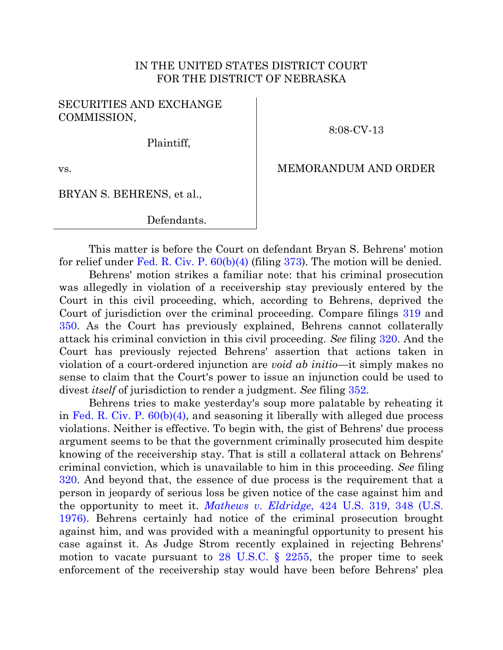## IN THE UNITED STATES DISTRICT COURT FOR THE DISTRICT OF NEBRASKA

## SECURITIES AND EXCHANGE COMMISSION,

8:08-CV-13

Plaintiff,

vs.

## MEMORANDUM AND ORDER

## BRYAN S. BEHRENS, et al.,

Defendants.

This matter is before the Court on defendant Bryan S. Behrens' motion for relief under Fed. R. Civ. P.  $60(b)(4)$  (filing  $373$ ). The motion will be denied.

Behrens' motion strikes a familiar note: that his criminal prosecution was allegedly in violation of a receivership stay previously entered by the Court in this civil proceeding, which, according to Behrens, deprived the Court of jurisdiction over the criminal proceeding. Compare filings [319](https://ecf.ned.uscourts.gov/doc1/11312787143) and [350.](https://ecf.ned.uscourts.gov/doc1/11312824935) As the Court has previously explained, Behrens cannot collaterally attack his criminal conviction in this civil proceeding. *See* filing [320.](https://ecf.ned.uscourts.gov/doc1/11312788075) And the Court has previously rejected Behrens' assertion that actions taken in violation of a court-ordered injunction are *void ab initio*—it simply makes no sense to claim that the Court's power to issue an injunction could be used to divest *itself* of jurisdiction to render a judgment. *See* filing [352.](https://ecf.ned.uscourts.gov/doc1/11312825872)

Behrens tries to make yesterday's soup more palatable by reheating it in [Fed. R. Civ. P. 60\(b\)\(4\),](http://westlaw.com/find/default.wl?ft=L&docname=USFRCPR60&rs=btil2.0&rp=%2ffind%2fdefault.wl&fn=_top&findtype=L&vr=2.0&db=1000600&wbtoolsId=USFRCPR60&HistoryType=F) and seasoning it liberally with alleged due process violations. Neither is effective. To begin with, the gist of Behrens' due process argument seems to be that the government criminally prosecuted him despite knowing of the receivership stay. That is still a collateral attack on Behrens' criminal conviction, which is unavailable to him in this proceeding. *See* filing [320.](https://ecf.ned.uscourts.gov/doc1/11312788075) And beyond that, the essence of due process is the requirement that a person in jeopardy of serious loss be given notice of the case against him and the opportunity to meet it. *Mathews v. Eldridge*[, 424 U.S. 319, 348 \(U.S.](http://westlaw.com/find/default.wl?ft=Y&referencepositiontype=S&rs=btil2.0&rp=%2ffind%2fdefault.wl&serialnum=1976142314&fn=_top&referenceposition=348&findtype=Y&vr=2.0&db=0000780&wbtoolsId=1976142314&HistoryType=F)  [1976\).](http://westlaw.com/find/default.wl?ft=Y&referencepositiontype=S&rs=btil2.0&rp=%2ffind%2fdefault.wl&serialnum=1976142314&fn=_top&referenceposition=348&findtype=Y&vr=2.0&db=0000780&wbtoolsId=1976142314&HistoryType=F) Behrens certainly had notice of the criminal prosecution brought against him, and was provided with a meaningful opportunity to present his case against it. As Judge Strom recently explained in rejecting Behrens' motion to vacate pursuant to  $28$  U.S.C. §  $2255$ , the proper time to seek enforcement of the receivership stay would have been before Behrens' plea